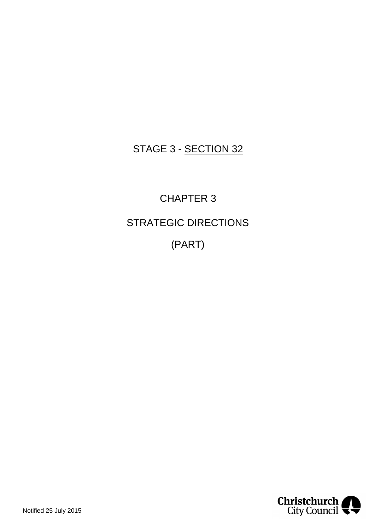## STAGE 3 - SECTION 32

CHAPTER 3 STRATEGIC DIRECTIONS (PART)

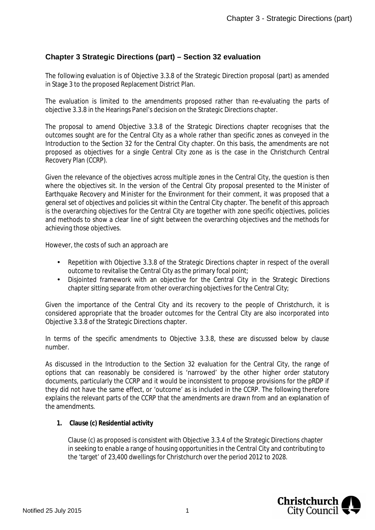## **Chapter 3 Strategic Directions (part) – Section 32 evaluation**

The following evaluation is of Objective 3.3.8 of the Strategic Direction proposal (part) as amended in Stage 3 to the proposed Replacement District Plan.

The evaluation is limited to the amendments proposed rather than re-evaluating the parts of objective 3.3.8 in the Hearings Panel's decision on the Strategic Directions chapter.

The proposal to amend Objective 3.3.8 of the Strategic Directions chapter recognises that the outcomes sought are for the Central City as a whole rather than specific zones as conveyed in the Introduction to the Section 32 for the Central City chapter. On this basis, the amendments are not proposed as objectives for a single Central City zone as is the case in the Christchurch Central Recovery Plan (CCRP).

Given the relevance of the objectives across multiple zones in the Central City, the question is then where the objectives sit. In the version of the Central City proposal presented to the Minister of Earthquake Recovery and Minister for the Environment for their comment, it was proposed that a general set of objectives and policies sit within the Central City chapter. The benefit of this approach is the overarching objectives for the Central City are together with zone specific objectives, policies and methods to show a clear line of sight between the overarching objectives and the methods for achieving those objectives.

However, the costs of such an approach are

- Repetition with Objective 3.3.8 of the Strategic Directions chapter in respect of the overall  $\mathbf{r} = \mathbf{r}$ outcome to revitalise the Central City as the primary focal point;
- Disjointed framework with an objective for the Central City in the Strategic Directions  $\mathcal{L}^{\text{max}}$ chapter sitting separate from other overarching objectives for the Central City;

Given the importance of the Central City and its recovery to the people of Christchurch, it is considered appropriate that the broader outcomes for the Central City are also incorporated into Objective 3.3.8 of the Strategic Directions chapter.

In terms of the specific amendments to Objective 3.3.8, these are discussed below by clause number.

As discussed in the Introduction to the Section 32 evaluation for the Central City, the range of options that can reasonably be considered is 'narrowed' by the other higher order statutory documents, particularly the CCRP and it would be inconsistent to propose provisions for the pRDP if they did not have the same effect, or 'outcome' as is included in the CCRP. The following therefore explains the relevant parts of the CCRP that the amendments are drawn from and an explanation of the amendments.

**1. Clause (c) Residential activity**

Clause (c) as proposed is consistent with Objective 3.3.4 of the Strategic Directions chapter in seeking to enable a range of housing opportunities in the Central City and contributing to the 'target' of 23,400 dwellings for Christchurch over the period 2012 to 2028.

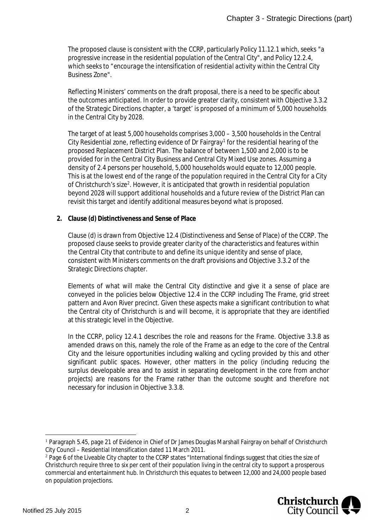The proposed clause is consistent with the CCRP, particularly Policy 11.12.1 which, seeks *"a progressive increase in the residential population of the Central City"*, and Policy 12.2.4, which seeks to "*encourage the intensification of residential activity within the Central City Business Zone*".

Reflecting Ministers' comments on the draft proposal, there is a need to be specific about the outcomes anticipated. In order to provide greater clarity, consistent with Objective 3.3.2 of the Strategic Directions chapter, a 'target' is proposed of a minimum of 5,000 households in the Central City by 2028.

The target of at least 5,000 households comprises 3,000 – 3,500 households in the Central City Residential zone, reflecting evidence of Dr Fairgray<sup>[1](#page-2-0)</sup> for the residential hearing of the proposed Replacement District Plan. The balance of between 1,500 and 2,000 is to be provided for in the Central City Business and Central City Mixed Use zones. Assuming a density of 2.4 persons per household, 5,000 households would equate to 12,000 people. This is at the lowest end of the range of the population required in the Central City for a City of Christchurch's size<sup>[2](#page-2-1)</sup>. However, it is anticipated that growth in residential population beyond 2028 will support additional households and a future review of the District Plan can revisit this target and identify additional measures beyond what is proposed.

**2. Clause (d) Distinctiveness and Sense of Place**

Clause (d) is drawn from Objective 12.4 (Distinctiveness and Sense of Place) of the CCRP. The proposed clause seeks to provide greater clarity of the characteristics and features within the Central City that contribute to and define its unique identity and sense of place, consistent with Ministers comments on the draft provisions and Objective 3.3.2 of the Strategic Directions chapter.

Elements of what will make the Central City distinctive and give it a sense of place are conveyed in the policies below Objective 12.4 in the CCRP including The Frame, grid street pattern and Avon River precinct. Given these aspects make a significant contribution to what the Central city of Christchurch is and will become, it is appropriate that they are identified at this strategic level in the Objective.

In the CCRP, policy 12.4.1 describes the role and reasons for the Frame. Objective 3.3.8 as amended draws on this, namely the role of the Frame as an edge to the core of the Central City and the leisure opportunities including walking and cycling provided by this and other significant public spaces. However, other matters in the policy (including reducing the surplus developable area and to assist in separating development in the core from anchor projects) are reasons for the Frame rather than the outcome sought and therefore not necessary for inclusion in Objective 3.3.8.

<span id="page-2-1"></span><sup>&</sup>lt;sup>2</sup> Page 6 of the Liveable City chapter to the CCRP states "International findings suggest that cities the size of Christchurch require three to six per cent of their population living in the central city to support a prosperous commercial and entertainment hub. In Christchurch this equates to between 12,000 and 24,000 people based on population projections.



<span id="page-2-0"></span><sup>&</sup>lt;sup>1</sup> Paragraph 5.45, page 21 of Evidence in Chief of Dr James Douglas Marshall Fairgray on behalf of Christchurch City Council – Residential Intensification dated 11 March 2011.